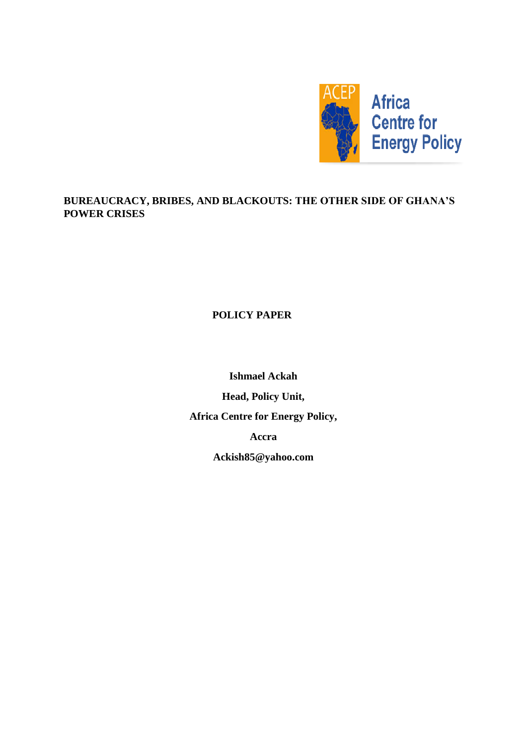

# **BUREAUCRACY, BRIBES, AND BLACKOUTS: THE OTHER SIDE OF GHANA'S POWER CRISES**

 **POLICY PAPER**

**Ishmael Ackah**

**Head, Policy Unit, Africa Centre for Energy Policy, Accra**

**Ackish85@yahoo.com**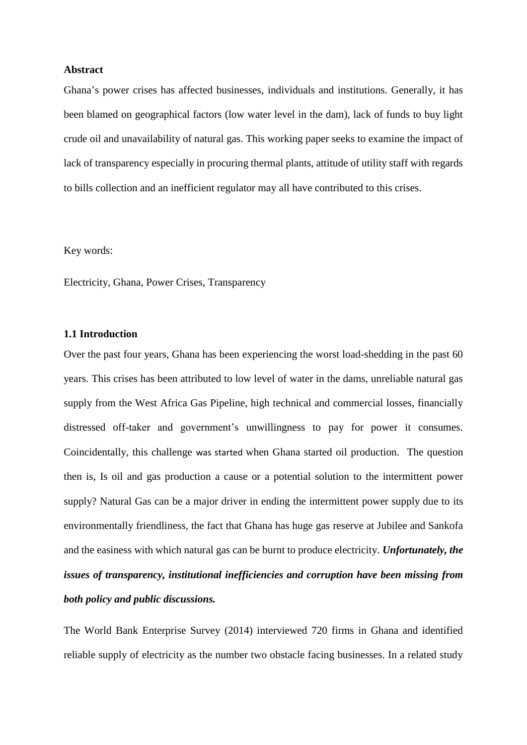### **Abstract**

Ghana's power crises has affected businesses, individuals and institutions. Generally, it has been blamed on geographical factors (low water level in the dam), lack of funds to buy light crude oil and unavailability of natural gas. This working paper seeks to examine the impact of lack of transparency especially in procuring thermal plants, attitude of utility staff with regards to bills collection and an inefficient regulator may all have contributed to this crises.

Key words:

Electricity, Ghana, Power Crises, Transparency

## **1.1 Introduction**

Over the past four years, Ghana has been experiencing the worst load-shedding in the past 60 years. This crises has been attributed to low level of water in the dams, unreliable natural gas supply from the West Africa Gas Pipeline, high technical and commercial losses, financially distressed off-taker and government's unwillingness to pay for power it consumes. Coincidentally, this challenge was started when Ghana started oil production. The question then is, Is oil and gas production a cause or a potential solution to the intermittent power supply? Natural Gas can be a major driver in ending the intermittent power supply due to its environmentally friendliness, the fact that Ghana has huge gas reserve at Jubilee and Sankofa and the easiness with which natural gas can be burnt to produce electricity. *Unfortunately, the issues of transparency, institutional inefficiencies and corruption have been missing from both policy and public discussions.*

The World Bank Enterprise Survey (2014) interviewed 720 firms in Ghana and identified reliable supply of electricity as the number two obstacle facing businesses. In a related study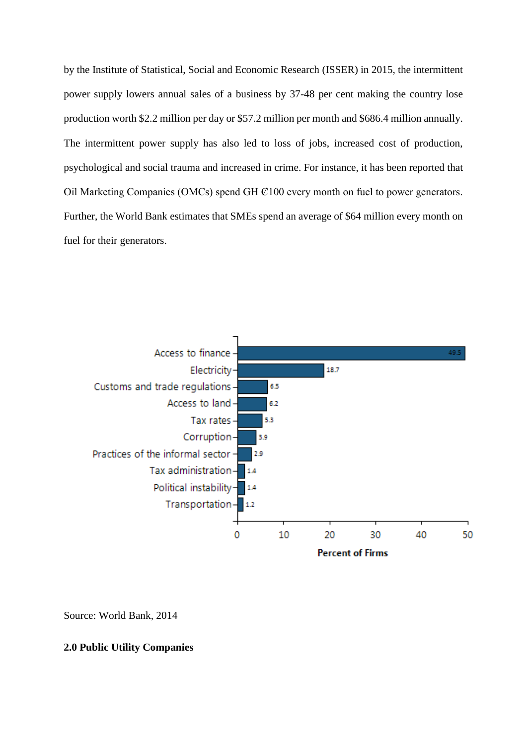by the Institute of Statistical, Social and Economic Research (ISSER) in 2015, the intermittent power supply lowers annual sales of a business by 37-48 per cent making the country lose production worth \$2.2 million per day or \$57.2 million per month and \$686.4 million annually. The intermittent power supply has also led to loss of jobs, increased cost of production, psychological and social trauma and increased in crime. For instance, it has been reported that Oil Marketing Companies (OMCs) spend GH  $\mathcal{C}100$  every month on fuel to power generators. Further, the World Bank estimates that SMEs spend an average of \$64 million every month on fuel for their generators.



Source: World Bank, 2014

# **2.0 Public Utility Companies**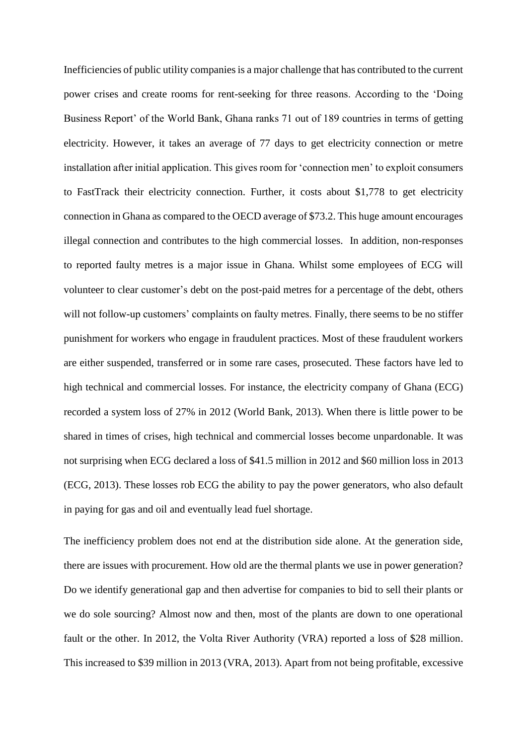Inefficiencies of public utility companies is a major challenge that has contributed to the current power crises and create rooms for rent-seeking for three reasons. According to the 'Doing Business Report' of the World Bank, Ghana ranks 71 out of 189 countries in terms of getting electricity. However, it takes an average of 77 days to get electricity connection or metre installation after initial application. This gives room for 'connection men' to exploit consumers to FastTrack their electricity connection. Further, it costs about \$1,778 to get electricity connection in Ghana as compared to the OECD average of \$73.2. This huge amount encourages illegal connection and contributes to the high commercial losses. In addition, non-responses to reported faulty metres is a major issue in Ghana. Whilst some employees of ECG will volunteer to clear customer's debt on the post-paid metres for a percentage of the debt, others will not follow-up customers' complaints on faulty metres. Finally, there seems to be no stiffer punishment for workers who engage in fraudulent practices. Most of these fraudulent workers are either suspended, transferred or in some rare cases, prosecuted. These factors have led to high technical and commercial losses. For instance, the electricity company of Ghana (ECG) recorded a system loss of 27% in 2012 (World Bank, 2013). When there is little power to be shared in times of crises, high technical and commercial losses become unpardonable. It was not surprising when ECG declared a loss of \$41.5 million in 2012 and \$60 million loss in 2013 (ECG, 2013). These losses rob ECG the ability to pay the power generators, who also default in paying for gas and oil and eventually lead fuel shortage.

The inefficiency problem does not end at the distribution side alone. At the generation side, there are issues with procurement. How old are the thermal plants we use in power generation? Do we identify generational gap and then advertise for companies to bid to sell their plants or we do sole sourcing? Almost now and then, most of the plants are down to one operational fault or the other. In 2012, the Volta River Authority (VRA) reported a loss of \$28 million. This increased to \$39 million in 2013 (VRA, 2013). Apart from not being profitable, excessive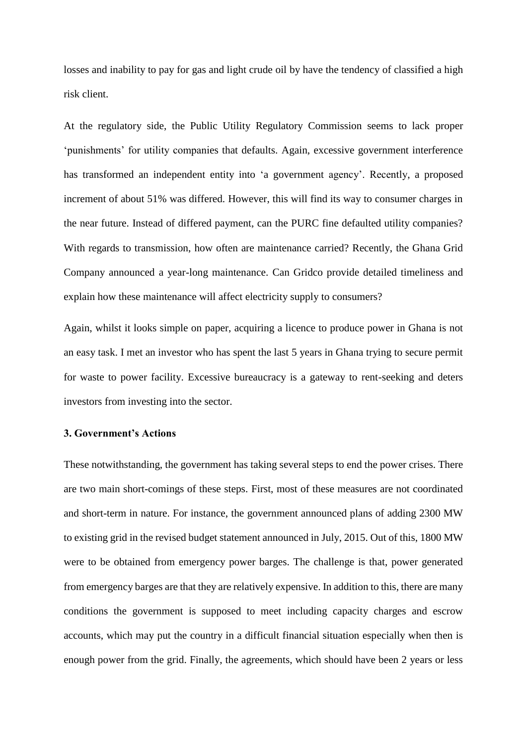losses and inability to pay for gas and light crude oil by have the tendency of classified a high risk client.

At the regulatory side, the Public Utility Regulatory Commission seems to lack proper 'punishments' for utility companies that defaults. Again, excessive government interference has transformed an independent entity into 'a government agency'. Recently, a proposed increment of about 51% was differed. However, this will find its way to consumer charges in the near future. Instead of differed payment, can the PURC fine defaulted utility companies? With regards to transmission, how often are maintenance carried? Recently, the Ghana Grid Company announced a year-long maintenance. Can Gridco provide detailed timeliness and explain how these maintenance will affect electricity supply to consumers?

Again, whilst it looks simple on paper, acquiring a licence to produce power in Ghana is not an easy task. I met an investor who has spent the last 5 years in Ghana trying to secure permit for waste to power facility. Excessive bureaucracy is a gateway to rent-seeking and deters investors from investing into the sector.

# **3. Government's Actions**

These notwithstanding, the government has taking several steps to end the power crises. There are two main short-comings of these steps. First, most of these measures are not coordinated and short-term in nature. For instance, the government announced plans of adding 2300 MW to existing grid in the revised budget statement announced in July, 2015. Out of this, 1800 MW were to be obtained from emergency power barges. The challenge is that, power generated from emergency barges are that they are relatively expensive. In addition to this, there are many conditions the government is supposed to meet including capacity charges and escrow accounts, which may put the country in a difficult financial situation especially when then is enough power from the grid. Finally, the agreements, which should have been 2 years or less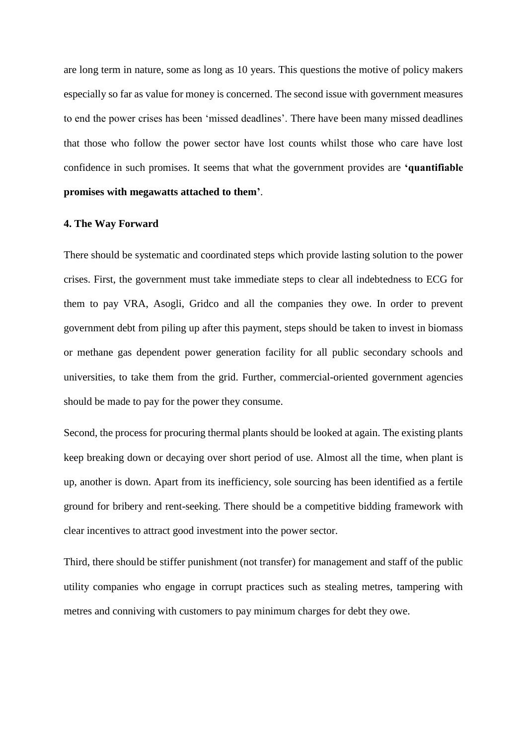are long term in nature, some as long as 10 years. This questions the motive of policy makers especially so far as value for money is concerned. The second issue with government measures to end the power crises has been 'missed deadlines'. There have been many missed deadlines that those who follow the power sector have lost counts whilst those who care have lost confidence in such promises. It seems that what the government provides are **'quantifiable promises with megawatts attached to them'**.

#### **4. The Way Forward**

There should be systematic and coordinated steps which provide lasting solution to the power crises. First, the government must take immediate steps to clear all indebtedness to ECG for them to pay VRA, Asogli, Gridco and all the companies they owe. In order to prevent government debt from piling up after this payment, steps should be taken to invest in biomass or methane gas dependent power generation facility for all public secondary schools and universities, to take them from the grid. Further, commercial-oriented government agencies should be made to pay for the power they consume.

Second, the process for procuring thermal plants should be looked at again. The existing plants keep breaking down or decaying over short period of use. Almost all the time, when plant is up, another is down. Apart from its inefficiency, sole sourcing has been identified as a fertile ground for bribery and rent-seeking. There should be a competitive bidding framework with clear incentives to attract good investment into the power sector.

Third, there should be stiffer punishment (not transfer) for management and staff of the public utility companies who engage in corrupt practices such as stealing metres, tampering with metres and conniving with customers to pay minimum charges for debt they owe.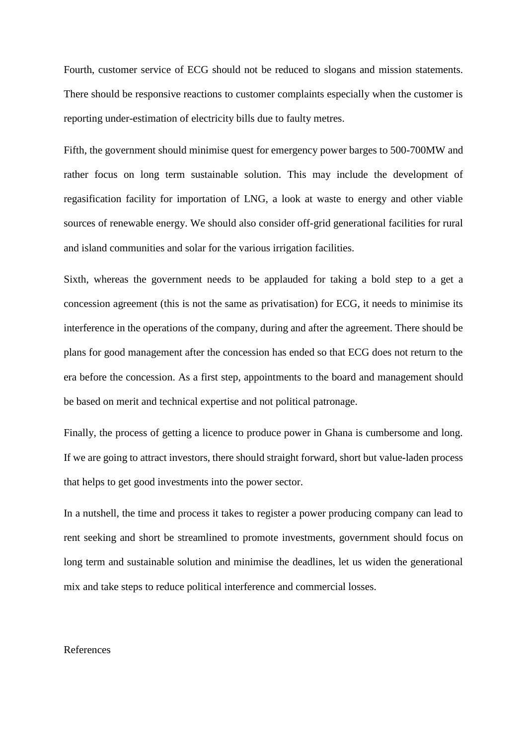Fourth, customer service of ECG should not be reduced to slogans and mission statements. There should be responsive reactions to customer complaints especially when the customer is reporting under-estimation of electricity bills due to faulty metres.

Fifth, the government should minimise quest for emergency power barges to 500-700MW and rather focus on long term sustainable solution. This may include the development of regasification facility for importation of LNG, a look at waste to energy and other viable sources of renewable energy. We should also consider off-grid generational facilities for rural and island communities and solar for the various irrigation facilities.

Sixth, whereas the government needs to be applauded for taking a bold step to a get a concession agreement (this is not the same as privatisation) for ECG, it needs to minimise its interference in the operations of the company, during and after the agreement. There should be plans for good management after the concession has ended so that ECG does not return to the era before the concession. As a first step, appointments to the board and management should be based on merit and technical expertise and not political patronage.

Finally, the process of getting a licence to produce power in Ghana is cumbersome and long. If we are going to attract investors, there should straight forward, short but value-laden process that helps to get good investments into the power sector.

In a nutshell, the time and process it takes to register a power producing company can lead to rent seeking and short be streamlined to promote investments, government should focus on long term and sustainable solution and minimise the deadlines, let us widen the generational mix and take steps to reduce political interference and commercial losses.

### References